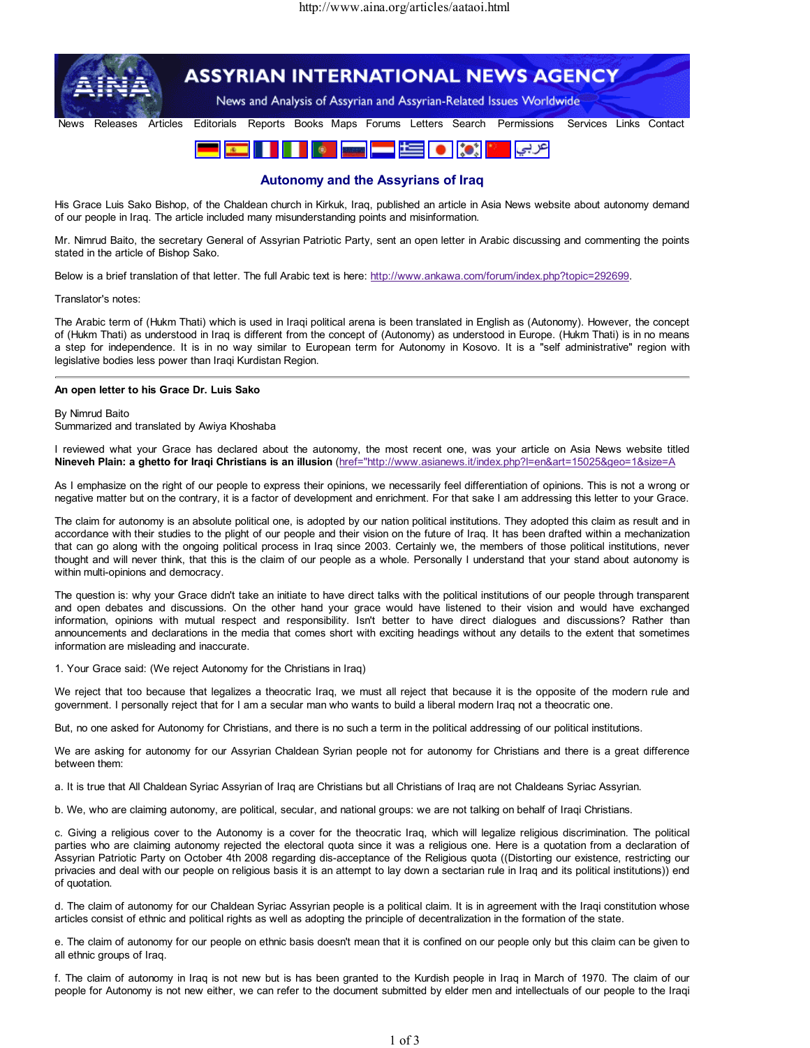

## Autonomy and the Assyrians of Iraq

His Grace Luis Sako Bishop, of the Chaldean church in Kirkuk, Iraq, published an article in Asia News website about autonomy demand of our people in Iraq. The article included many misunderstanding points and misinformation.

Mr. Nimrud Baito, the secretary General of Assyrian Patriotic Party, sent an open letter in Arabic discussing and commenting the points stated in the article of Bishop Sako.

Below is a brief translation of that letter. The full Arabic text is here: http://www.ankawa.com/forum/index.php?topic=292699.

## Translator's notes:

The Arabic term of (Hukm Thati) which is used in Iraqi political arena is been translated in English as (Autonomy). However, the concept of (Hukm Thati) as understood in Iraq is different from the concept of (Autonomy) as understood in Europe. (Hukm Thati) is in no means a step for independence. It is in no way similar to European term for Autonomy in Kosovo. It is a "self administrative" region with legislative bodies less power than Iraqi Kurdistan Region.

## An open letter to his Grace Dr. Luis Sako

## By Nimrud Baito Summarized and translated by Awiya Khoshaba

I reviewed what your Grace has declared about the autonomy, the most recent one, was your article on Asia News website titled Nineveh Plain: a ghetto for Iraqi Christians is an illusion (href="http://www.asianews.it/index.php?l=en&art=15025&geo=1&size=A

As I emphasize on the right of our people to express their opinions, we necessarily feel differentiation of opinions. This is not a wrong or negative matter but on the contrary, it is a factor of development and enrichment. For that sake I am addressing this letter to your Grace.

The claim for autonomy is an absolute political one, is adopted by our nation political institutions. They adopted this claim as result and in accordance with their studies to the plight of our people and their vision on the future of Iraq. It has been drafted within a mechanization that can go along with the ongoing political process in Iraq since 2003. Certainly we, the members of those political institutions, never thought and will never think, that this is the claim of our people as a whole. Personally I understand that your stand about autonomy is within multi-opinions and democracy.

The question is: why your Grace didn't take an initiate to have direct talks with the political institutions of our people through transparent and open debates and discussions. On the other hand your grace would have listened to their vision and would have exchanged information, opinions with mutual respect and responsibility. Isn't better to have direct dialogues and discussions? Rather than announcements and declarations in the media that comes short with exciting headings without any details to the extent that sometimes information are misleading and inaccurate.

1. Your Grace said: (We reject Autonomy for the Christians in Iraq)

We reject that too because that legalizes a theocratic Iraq, we must all reject that because it is the opposite of the modern rule and government. I personally reject that for I am a secular man who wants to build a liberal modern Iraq not a theocratic one.

But, no one asked for Autonomy for Christians, and there is no such a term in the political addressing of our political institutions.

We are asking for autonomy for our Assyrian Chaldean Syrian people not for autonomy for Christians and there is a great difference between them:

a. It is true that All Chaldean Syriac Assyrian of Iraq are Christians but all Christians of Iraq are not Chaldeans Syriac Assyrian.

b. We, who are claiming autonomy, are political, secular, and national groups: we are not talking on behalf of Iraqi Christians.

c. Giving a religious cover to the Autonomy is a cover for the theocratic Iraq, which will legalize religious discrimination. The political parties who are claiming autonomy rejected the electoral quota since it was a religious one. Here is a quotation from a declaration of Assyrian Patriotic Party on October 4th 2008 regarding dis-acceptance of the Religious quota ((Distorting our existence, restricting our privacies and deal with our people on religious basis it is an attempt to lay down a sectarian rule in Iraq and its political institutions)) end of quotation.

d. The claim of autonomy for our Chaldean Syriac Assyrian people is a political claim. It is in agreement with the Iraqi constitution whose articles consist of ethnic and political rights as well as adopting the principle of decentralization in the formation of the state.

e. The claim of autonomy for our people on ethnic basis doesn't mean that it is confined on our people only but this claim can be given to all ethnic groups of Iraq.

f. The claim of autonomy in Iraq is not new but is has been granted to the Kurdish people in Iraq in March of 1970. The claim of our people for Autonomy is not new either, we can refer to the document submitted by elder men and intellectuals of our people to the Iraqi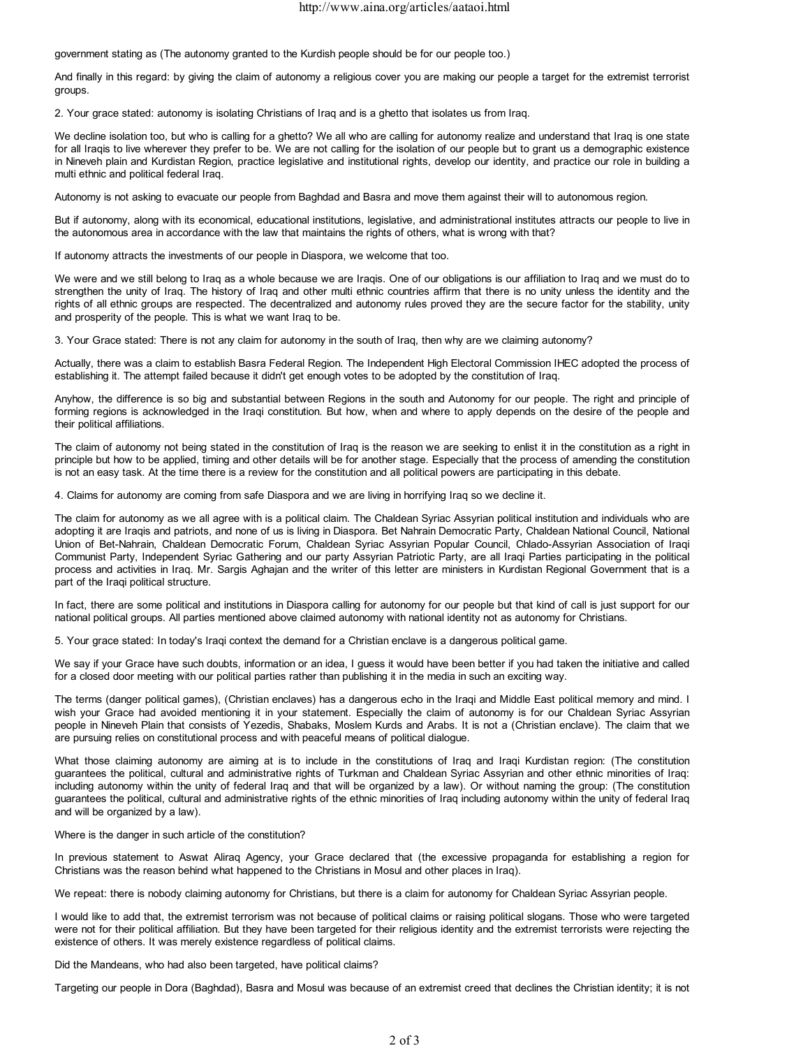government stating as (The autonomy granted to the Kurdish people should be for our people too.)

And finally in this regard: by giving the claim of autonomy a religious cover you are making our people a target for the extremist terrorist groups.

2. Your grace stated: autonomy is isolating Christians of Iraq and is a ghetto that isolates us from Iraq.

We decline isolation too, but who is calling for a ghetto? We all who are calling for autonomy realize and understand that Iraq is one state for all Iraqis to live wherever they prefer to be. We are not calling for the isolation of our people but to grant us a demographic existence in Nineveh plain and Kurdistan Region, practice legislative and institutional rights, develop our identity, and practice our role in building a multi ethnic and political federal Iraq.

Autonomy is not asking to evacuate our people from Baghdad and Basra and move them against their will to autonomous region.

But if autonomy, along with its economical, educational institutions, legislative, and administrational institutes attracts our people to live in the autonomous area in accordance with the law that maintains the rights of others, what is wrong with that?

If autonomy attracts the investments of our people in Diaspora, we welcome that too.

We were and we still belong to Iraq as a whole because we are Iraqis. One of our obligations is our affiliation to Iraq and we must do to strengthen the unity of Iraq. The history of Iraq and other multi ethnic countries affirm that there is no unity unless the identity and the rights of all ethnic groups are respected. The decentralized and autonomy rules proved they are the secure factor for the stability, unity and prosperity of the people. This is what we want Iraq to be.

3. Your Grace stated: There is not any claim for autonomy in the south of Iraq, then why are we claiming autonomy?

Actually, there was a claim to establish Basra Federal Region. The Independent High Electoral Commission IHEC adopted the process of establishing it. The attempt failed because it didn't get enough votes to be adopted by the constitution of Iraq.

Anyhow, the difference is so big and substantial between Regions in the south and Autonomy for our people. The right and principle of forming regions is acknowledged in the Iraqi constitution. But how, when and where to apply depends on the desire of the people and their political affiliations.

The claim of autonomy not being stated in the constitution of Iraq is the reason we are seeking to enlist it in the constitution as a right in principle but how to be applied, timing and other details will be for another stage. Especially that the process of amending the constitution is not an easy task. At the time there is a review for the constitution and all political powers are participating in this debate.

4. Claims for autonomy are coming from safe Diaspora and we are living in horrifying Iraq so we decline it.

The claim for autonomy as we all agree with is a political claim. The Chaldean Syriac Assyrian political institution and individuals who are adopting it are Iraqis and patriots, and none of us is living in Diaspora. Bet Nahrain Democratic Party, Chaldean National Council, National Union of Bet-Nahrain, Chaldean Democratic Forum, Chaldean Syriac Assyrian Popular Council, Chlado-Assyrian Association of Iraqi Communist Party, Independent Syriac Gathering and our party Assyrian Patriotic Party, are all Iraqi Parties participating in the political process and activities in Iraq. Mr. Sargis Aghajan and the writer of this letter are ministers in Kurdistan Regional Government that is a part of the Iraqi political structure.

In fact, there are some political and institutions in Diaspora calling for autonomy for our people but that kind of call is just support for our national political groups. All parties mentioned above claimed autonomy with national identity not as autonomy for Christians.

5. Your grace stated: In today's Iraqi context the demand for a Christian enclave is a dangerous political game.

We say if your Grace have such doubts, information or an idea, I guess it would have been better if you had taken the initiative and called for a closed door meeting with our political parties rather than publishing it in the media in such an exciting way.

The terms (danger political games), (Christian enclaves) has a dangerous echo in the Iraqi and Middle East political memory and mind. I wish your Grace had avoided mentioning it in your statement. Especially the claim of autonomy is for our Chaldean Syriac Assyrian people in Nineveh Plain that consists of Yezedis, Shabaks, Moslem Kurds and Arabs. It is not a (Christian enclave). The claim that we are pursuing relies on constitutional process and with peaceful means of political dialogue.

What those claiming autonomy are aiming at is to include in the constitutions of Iraq and Iraqi Kurdistan region: (The constitution guarantees the political, cultural and administrative rights of Turkman and Chaldean Syriac Assyrian and other ethnic minorities of Iraq: including autonomy within the unity of federal Iraq and that will be organized by a law). Or without naming the group: (The constitution guarantees the political, cultural and administrative rights of the ethnic minorities of Iraq including autonomy within the unity of federal Iraq and will be organized by a law).

Where is the danger in such article of the constitution?

In previous statement to Aswat Aliraq Agency, your Grace declared that (the excessive propaganda for establishing a region for Christians was the reason behind what happened to the Christians in Mosul and other places in Iraq).

We repeat: there is nobody claiming autonomy for Christians, but there is a claim for autonomy for Chaldean Syriac Assyrian people.

I would like to add that, the extremist terrorism was not because of political claims or raising political slogans. Those who were targeted were not for their political affiliation. But they have been targeted for their religious identity and the extremist terrorists were rejecting the existence of others. It was merely existence regardless of political claims.

Did the Mandeans, who had also been targeted, have political claims?

Targeting our people in Dora (Baghdad), Basra and Mosul was because of an extremist creed that declines the Christian identity; it is not